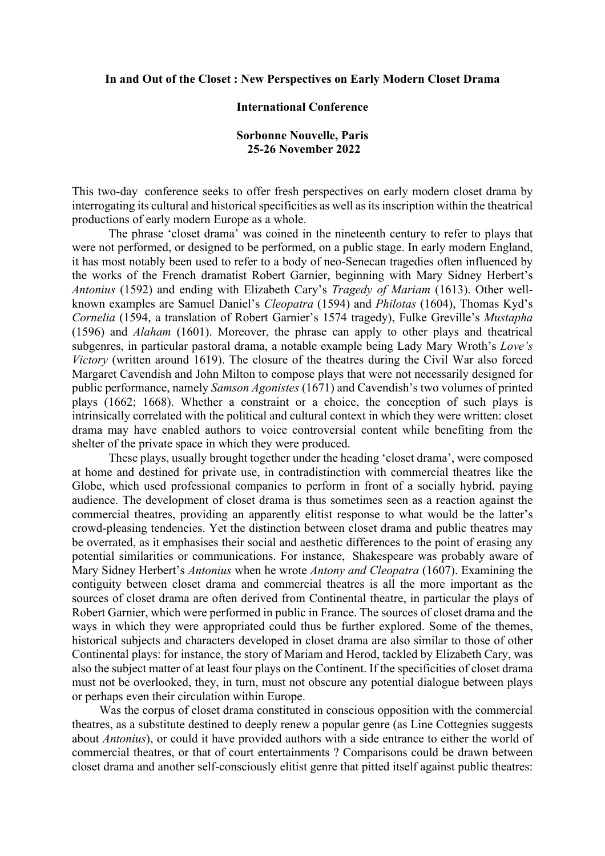## **In and Out of the Closet : New Perspectives on Early Modern Closet Drama**

## **International Conference**

## **Sorbonne Nouvelle, Paris 25-26 November 2022**

This two-day conference seeks to offer fresh perspectives on early modern closet drama by interrogating its cultural and historical specificities as well as its inscription within the theatrical productions of early modern Europe as a whole.

 The phrase 'closet drama' was coined in the nineteenth century to refer to plays that were not performed, or designed to be performed, on a public stage. In early modern England, it has most notably been used to refer to a body of neo-Senecan tragedies often influenced by the works of the French dramatist Robert Garnier, beginning with Mary Sidney Herbert's *Antonius* (1592) and ending with Elizabeth Cary's *Tragedy of Mariam* (1613). Other wellknown examples are Samuel Daniel's *Cleopatra* (1594) and *Philotas* (1604), Thomas Kyd's *Cornelia* (1594, a translation of Robert Garnier's 1574 tragedy), Fulke Greville's *Mustapha* (1596) and *Alaham* (1601). Moreover, the phrase can apply to other plays and theatrical subgenres, in particular pastoral drama, a notable example being Lady Mary Wroth's *Love's Victory* (written around 1619). The closure of the theatres during the Civil War also forced Margaret Cavendish and John Milton to compose plays that were not necessarily designed for public performance, namely *Samson Agonistes* (1671) and Cavendish's two volumes of printed plays (1662; 1668). Whether a constraint or a choice, the conception of such plays is intrinsically correlated with the political and cultural context in which they were written: closet drama may have enabled authors to voice controversial content while benefiting from the shelter of the private space in which they were produced.

These plays, usually brought together under the heading 'closet drama', were composed at home and destined for private use, in contradistinction with commercial theatres like the Globe, which used professional companies to perform in front of a socially hybrid, paying audience. The development of closet drama is thus sometimes seen as a reaction against the commercial theatres, providing an apparently elitist response to what would be the latter's crowd-pleasing tendencies. Yet the distinction between closet drama and public theatres may be overrated, as it emphasises their social and aesthetic differences to the point of erasing any potential similarities or communications. For instance, Shakespeare was probably aware of Mary Sidney Herbert's *Antonius* when he wrote *Antony and Cleopatra* (1607). Examining the contiguity between closet drama and commercial theatres is all the more important as the sources of closet drama are often derived from Continental theatre, in particular the plays of Robert Garnier, which were performed in public in France. The sources of closet drama and the ways in which they were appropriated could thus be further explored. Some of the themes, historical subjects and characters developed in closet drama are also similar to those of other Continental plays: for instance, the story of Mariam and Herod, tackled by Elizabeth Cary, was also the subject matter of at least four plays on the Continent. If the specificities of closet drama must not be overlooked, they, in turn, must not obscure any potential dialogue between plays or perhaps even their circulation within Europe.

 Was the corpus of closet drama constituted in conscious opposition with the commercial theatres, as a substitute destined to deeply renew a popular genre (as Line Cottegnies suggests about *Antonius*), or could it have provided authors with a side entrance to either the world of commercial theatres, or that of court entertainments ? Comparisons could be drawn between closet drama and another self-consciously elitist genre that pitted itself against public theatres: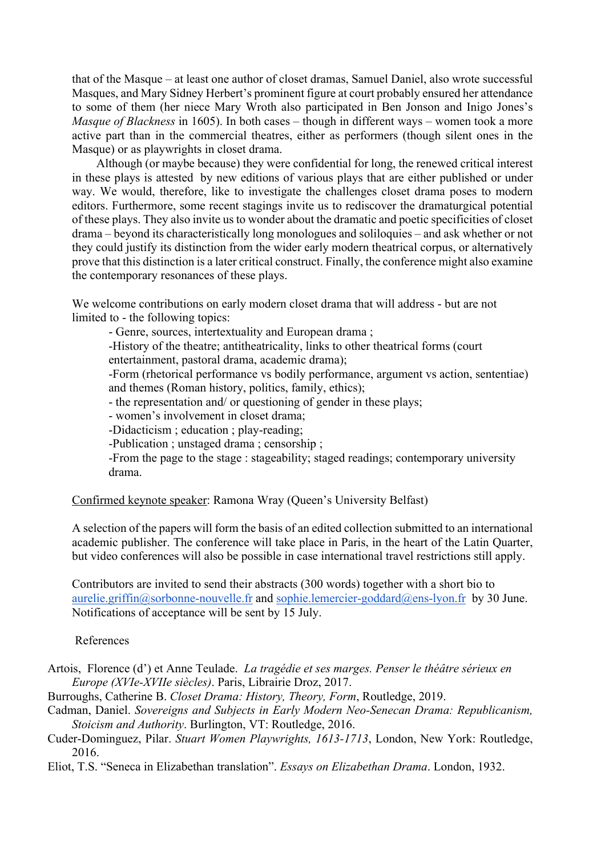that of the Masque – at least one author of closet dramas, Samuel Daniel, also wrote successful Masques, and Mary Sidney Herbert's prominent figure at court probably ensured her attendance to some of them (her niece Mary Wroth also participated in Ben Jonson and Inigo Jones's *Masque of Blackness* in 1605). In both cases – though in different ways – women took a more active part than in the commercial theatres, either as performers (though silent ones in the Masque) or as playwrights in closet drama.

 Although (or maybe because) they were confidential for long, the renewed critical interest in these plays is attested by new editions of various plays that are either published or under way. We would, therefore, like to investigate the challenges closet drama poses to modern editors. Furthermore, some recent stagings invite us to rediscover the dramaturgical potential of these plays. They also invite us to wonder about the dramatic and poetic specificities of closet drama – beyond its characteristically long monologues and soliloquies – and ask whether or not they could justify its distinction from the wider early modern theatrical corpus, or alternatively prove that this distinction is a later critical construct. Finally, the conference might also examine the contemporary resonances of these plays.

We welcome contributions on early modern closet drama that will address - but are not limited to - the following topics:

- Genre, sources, intertextuality and European drama ;

-History of the theatre; antitheatricality, links to other theatrical forms (court entertainment, pastoral drama, academic drama);

-Form (rhetorical performance vs bodily performance, argument vs action, sententiae) and themes (Roman history, politics, family, ethics);

- the representation and/ or questioning of gender in these plays;

- women's involvement in closet drama;

-Didacticism ; education ; play-reading;

-Publication ; unstaged drama ; censorship ;

-From the page to the stage : stageability; staged readings; contemporary university drama.

Confirmed keynote speaker: Ramona Wray (Queen's University Belfast)

A selection of the papers will form the basis of an edited collection submitted to an international academic publisher. The conference will take place in Paris, in the heart of the Latin Quarter, but video conferences will also be possible in case international travel restrictions still apply.

Contributors are invited to send their abstracts (300 words) together with a short bio to aurelie.griffin@sorbonne-nouvelle.fr and sophie.lemercier-goddard@ens-lyon.fr by 30 June. Notifications of acceptance will be sent by 15 July.

## References

Artois, Florence (d') et Anne Teulade. *La tragédie et ses marges. Penser le théâtre sérieux en Europe (XVIe-XVIIe siècles)*. Paris, Librairie Droz, 2017.

Burroughs, Catherine B. *Closet Drama: History, Theory, Form*, Routledge, 2019.

Cadman, Daniel. *Sovereigns and Subjects in Early Modern Neo-Senecan Drama: Republicanism, Stoicism and Authority*. Burlington, VT: Routledge, 2016.

Cuder-Dominguez, Pilar. *Stuart Women Playwrights, 1613-1713*, London, New York: Routledge, 2016.

Eliot, T.S. "Seneca in Elizabethan translation". *Essays on Elizabethan Drama*. London, 1932.